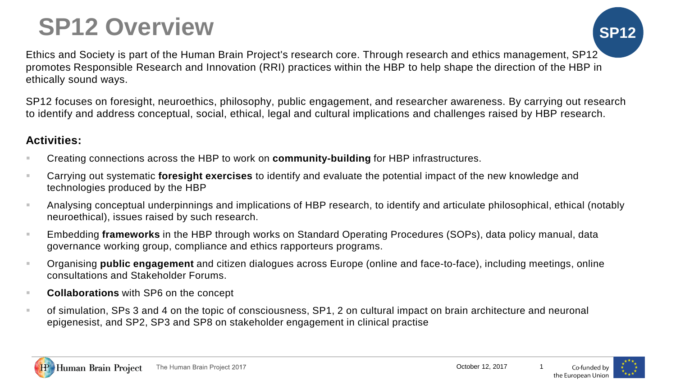## **SP12 Overview SP12**

Ethics and Society is part of the Human Brain Project's research core. Through research and ethics management, SP12 promotes Responsible Research and Innovation (RRI) practices within the HBP to help shape the direction of the HBP in ethically sound ways.

SP12 focuses on foresight, neuroethics, philosophy, public engagement, and researcher awareness. By carrying out research to identify and address conceptual, social, ethical, legal and cultural implications and challenges raised by HBP research.

## **Activities:**

- Creating connections across the HBP to work on **community-building** for HBP infrastructures.
- Carrying out systematic **foresight exercises** to identify and evaluate the potential impact of the new knowledge and technologies produced by the HBP
- Analysing conceptual underpinnings and implications of HBP research, to identify and articulate philosophical, ethical (notably neuroethical), issues raised by such research.
- Embedding **frameworks** in the HBP through works on Standard Operating Procedures (SOPs), data policy manual, data governance working group, compliance and ethics rapporteurs programs.
- Organising **public engagement** and citizen dialogues across Europe (online and face-to-face), including meetings, online consultations and Stakeholder Forums.
- **Collaborations** with SP6 on the concept
- of simulation, SPs 3 and 4 on the topic of consciousness, SP1, 2 on cultural impact on brain architecture and neuronal epigenesist, and SP2, SP3 and SP8 on stakeholder engagement in clinical practise



October 12, 2017



Co-funded by the European Unior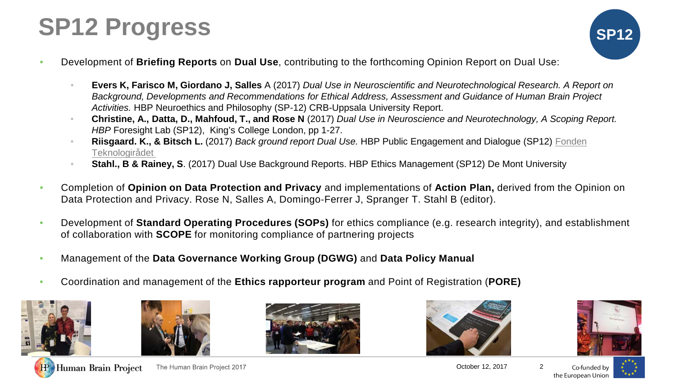## **SP12 Progress SP12**



- Development of **Briefing Reports** on **Dual Use**, contributing to the forthcoming Opinion Report on Dual Use:
	- **Evers K, Farisco M, Giordano J, Salles** A (2017) *Dual Use in Neuroscientific and Neurotechnological Research. A Report on Background, Developments and Recommendations for Ethical Address, Assessment and Guidance of Human Brain Project Activities.* HBP Neuroethics and Philosophy (SP-12) CRB-Uppsala University Report.
	- **Christine, A., Datta, D., Mahfoud, T., and Rose N** (2017) *Dual Use in Neuroscience and Neurotechnology, A Scoping Report. HBP* Foresight Lab (SP12), King's College London, pp 1-27.
	- **Riisgaard. K., & Bitsch L.** (2017) *Back ground report Dual Use.* [HBP Public Engagement and Dialogue \(SP12\) Fonden](https://www.google.co.uk/url?sa=t&rct=j&q=&esrc=s&source=web&cd=5&ved=0ahUKEwiM49SQu8DWAhWMb1AKHffwAQUQFgg_MAQ&url=https://uk.linkedin.com/company/the-danish-board-of-technology-foundation&usg=AFQjCNGLJ13bLXfGRfiMhUM6_Gla4g42mQ) Teknologirådet
	- **Stahl., B & Rainey, S**. (2017) Dual Use Background Reports. HBP Ethics Management (SP12) De Mont University
- Completion of **Opinion on Data Protection and Privacy** and implementations of **Action Plan,** derived from the Opinion on Data Protection and Privacy. Rose N, Salles A, Domingo-Ferrer J, Spranger T. Stahl B (editor).
- Development of **Standard Operating Procedures (SOPs)** for ethics compliance (e.g. research integrity), and establishment of collaboration with **SCOPE** for monitoring compliance of partnering projects
- Management of the **Data Governance Working Group (DGWG)** and **Data Policy Manual**
- Coordination and management of the **Ethics rapporteur program** and Point of Registration (**PORE)**













The Human Brain Project 2017

October 12, 2017 2

Co-funded by the European Union

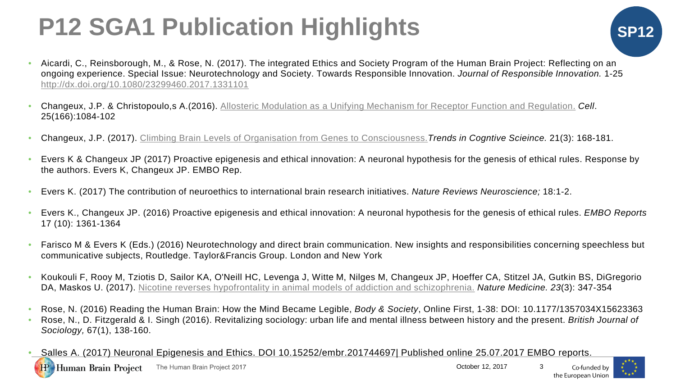# **P12 SGA1 Publication Highlights SP**

- Aicardi, C., Reinsborough, M., & Rose, N. (2017). The integrated Ethics and Society Program of the Human Brain Project: Reflecting on an ongoing experience. Special Issue: Neurotechnology and Society. Towards Responsible Innovation. *Journal of Responsible Innovation.* 1-25 <http://dx.doi.org/10.1080/23299460.2017.1331101>
- Changeux, J.P. & Christopoulo,s A.(2016). [Allosteric Modulation as a Unifying Mechanism for Receptor Function and Regulation.](https://www.ncbi.nlm.nih.gov/pubmed/27565340) *Cell*. 25(166):1084-102
- Changeux, J.P. (2017). [Climbing Brain Levels of Organisation from Genes to Consciousness.](https://www.ncbi.nlm.nih.gov/pubmed/28161289)*Trends in Cogntive Scieince.* 21(3): 168-181.
- Evers K & Changeux JP (2017) Proactive epigenesis and ethical innovation: A neuronal hypothesis for the genesis of ethical rules. Response by the authors. Evers K, Changeux JP. EMBO Rep.
- Evers K. (2017) The contribution of neuroethics to international brain research initiatives. *Nature Reviews Neuroscience;* 18:1-2.
- Evers K., Changeux JP. (2016) Proactive epigenesis and ethical innovation: A neuronal hypothesis for the genesis of ethical rules. *EMBO Reports* 17 (10): 1361-1364
- Farisco M & Evers K (Eds.) (2016) Neurotechnology and direct brain communication. New insights and responsibilities concerning speechless but communicative subjects, Routledge. Taylor&Francis Group. London and New York
- Koukouli F, Rooy M, Tziotis D, Sailor KA, O'Neill HC, Levenga J, Witte M, Nilges M, Changeux JP, Hoeffer CA, Stitzel JA, Gutkin BS, DiGregorio DA, Maskos U. (2017). [Nicotine reverses hypofrontality in animal models of addiction and schizophrenia.](https://www.ncbi.nlm.nih.gov/pubmed/28112735) *Nature Medicine. 23*(3): 347-354
- Rose, N. (2016) Reading the Human Brain: How the Mind Became Legible, *Body & Society*, Online First, 1-38: DOI: 10.1177/1357034X15623363
- Rose, N., D. Fitzgerald & I. Singh (2016). Revitalizing sociology: urban life and mental illness between history and the present. *British Journal of Sociology,* 67(1), 138-160.
- Salles A. (2017) Neuronal Epigenesis and Ethics. DOI 10.15252/embr.201744697| Published online 25.07.2017 EMBO reports.



**IP** 



Co-funded by the European Unior